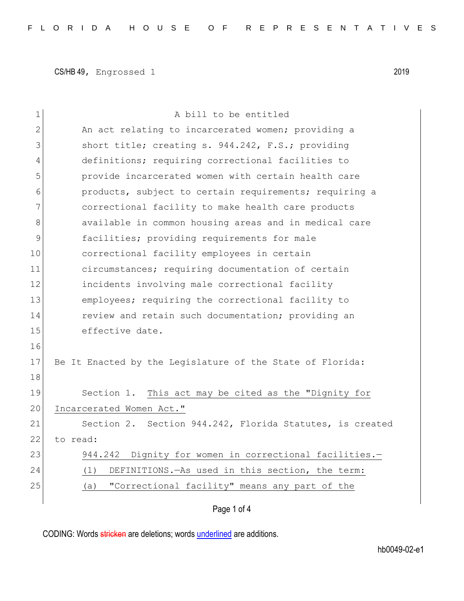| 1  | A bill to be entitled                                     |  |  |  |  |  |  |  |  |
|----|-----------------------------------------------------------|--|--|--|--|--|--|--|--|
| 2  | An act relating to incarcerated women; providing a        |  |  |  |  |  |  |  |  |
| 3  | short title; creating s. 944.242, F.S.; providing         |  |  |  |  |  |  |  |  |
| 4  | definitions; requiring correctional facilities to         |  |  |  |  |  |  |  |  |
| 5  | provide incarcerated women with certain health care       |  |  |  |  |  |  |  |  |
| 6  | products, subject to certain requirements; requiring a    |  |  |  |  |  |  |  |  |
| 7  | correctional facility to make health care products        |  |  |  |  |  |  |  |  |
| 8  | available in common housing areas and in medical care     |  |  |  |  |  |  |  |  |
| 9  | facilities; providing requirements for male               |  |  |  |  |  |  |  |  |
| 10 | correctional facility employees in certain                |  |  |  |  |  |  |  |  |
| 11 | circumstances; requiring documentation of certain         |  |  |  |  |  |  |  |  |
| 12 | incidents involving male correctional facility            |  |  |  |  |  |  |  |  |
| 13 | employees; requiring the correctional facility to         |  |  |  |  |  |  |  |  |
| 14 | review and retain such documentation; providing an        |  |  |  |  |  |  |  |  |
| 15 | effective date.                                           |  |  |  |  |  |  |  |  |
| 16 |                                                           |  |  |  |  |  |  |  |  |
| 17 | Be It Enacted by the Legislature of the State of Florida: |  |  |  |  |  |  |  |  |
| 18 |                                                           |  |  |  |  |  |  |  |  |
| 19 | This act may be cited as the "Dignity for<br>Section 1.   |  |  |  |  |  |  |  |  |
| 20 | Incarcerated Women Act."                                  |  |  |  |  |  |  |  |  |
| 21 | Section 2. Section 944.242, Florida Statutes, is created  |  |  |  |  |  |  |  |  |
| 22 | to read:                                                  |  |  |  |  |  |  |  |  |
| 23 | Dignity for women in correctional facilities.-<br>944.242 |  |  |  |  |  |  |  |  |
| 24 | DEFINITIONS. - As used in this section, the term:<br>(1)  |  |  |  |  |  |  |  |  |
| 25 | "Correctional facility" means any part of the<br>(a)      |  |  |  |  |  |  |  |  |
|    |                                                           |  |  |  |  |  |  |  |  |

## Page 1 of 4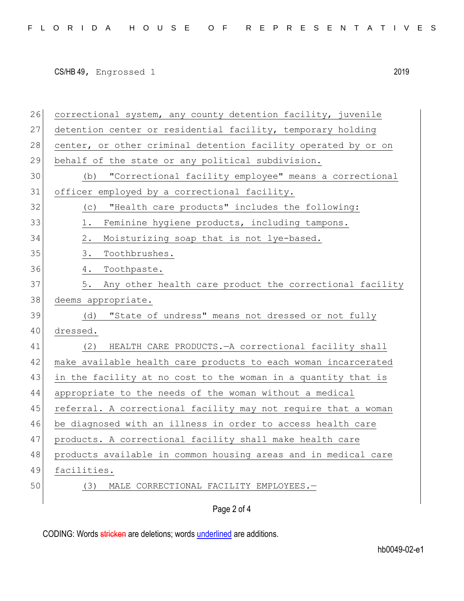| 26 | correctional system, any county detention facility, juvenile   |
|----|----------------------------------------------------------------|
| 27 | detention center or residential facility, temporary holding    |
| 28 | center, or other criminal detention facility operated by or on |
| 29 | behalf of the state or any political subdivision.              |
| 30 | (b) "Correctional facility employee" means a correctional      |
| 31 | officer employed by a correctional facility.                   |
| 32 | "Health care products" includes the following:<br>(C)          |
| 33 | Feminine hygiene products, including tampons.<br>1.            |
| 34 | Moisturizing soap that is not lye-based.<br>2.                 |
| 35 | Toothbrushes.<br>3.                                            |
| 36 | Toothpaste.<br>4.                                              |
| 37 | Any other health care product the correctional facility<br>5.  |
| 38 | deems appropriate.                                             |
| 39 | "State of undress" means not dressed or not fully<br>(d)       |
| 40 | dressed.                                                       |
| 41 | (2)<br>HEALTH CARE PRODUCTS. - A correctional facility shall   |
| 42 | make available health care products to each woman incarcerated |
| 43 | in the facility at no cost to the woman in a quantity that is  |
| 44 | appropriate to the needs of the woman without a medical        |
| 45 | referral. A correctional facility may not require that a woman |
| 46 | be diagnosed with an illness in order to access health care    |
| 47 | products. A correctional facility shall make health care       |
| 48 | products available in common housing areas and in medical care |
| 49 | facilities.                                                    |
| 50 | MALE CORRECTIONAL FACILITY EMPLOYEES.-<br>(3)                  |
|    | Page 2 of 4                                                    |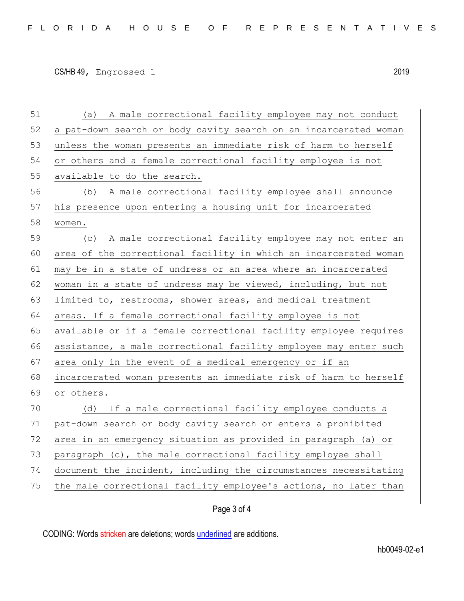| 51 | (a) A male correctional facility employee may not conduct        |
|----|------------------------------------------------------------------|
| 52 | a pat-down search or body cavity search on an incarcerated woman |
| 53 | unless the woman presents an immediate risk of harm to herself   |
| 54 | or others and a female correctional facility employee is not     |
| 55 | available to do the search.                                      |
| 56 | (b) A male correctional facility employee shall announce         |
| 57 | his presence upon entering a housing unit for incarcerated       |
| 58 | women.                                                           |
| 59 | (c) A male correctional facility employee may not enter an       |
| 60 | area of the correctional facility in which an incarcerated woman |
| 61 | may be in a state of undress or an area where an incarcerated    |
| 62 | woman in a state of undress may be viewed, including, but not    |
| 63 | limited to, restrooms, shower areas, and medical treatment       |
| 64 | areas. If a female correctional facility employee is not         |
| 65 | available or if a female correctional facility employee requires |
| 66 | assistance, a male correctional facility employee may enter such |
| 67 | area only in the event of a medical emergency or if an           |
| 68 | incarcerated woman presents an immediate risk of harm to herself |
| 69 | or others.                                                       |
| 70 | (d) If a male correctional facility employee conducts a          |
| 71 | pat-down search or body cavity search or enters a prohibited     |
| 72 | area in an emergency situation as provided in paragraph (a) or   |
| 73 | paragraph (c), the male correctional facility employee shall     |
| 74 | document the incident, including the circumstances necessitating |
| 75 | the male correctional facility employee's actions, no later than |
|    |                                                                  |

Page 3 of 4